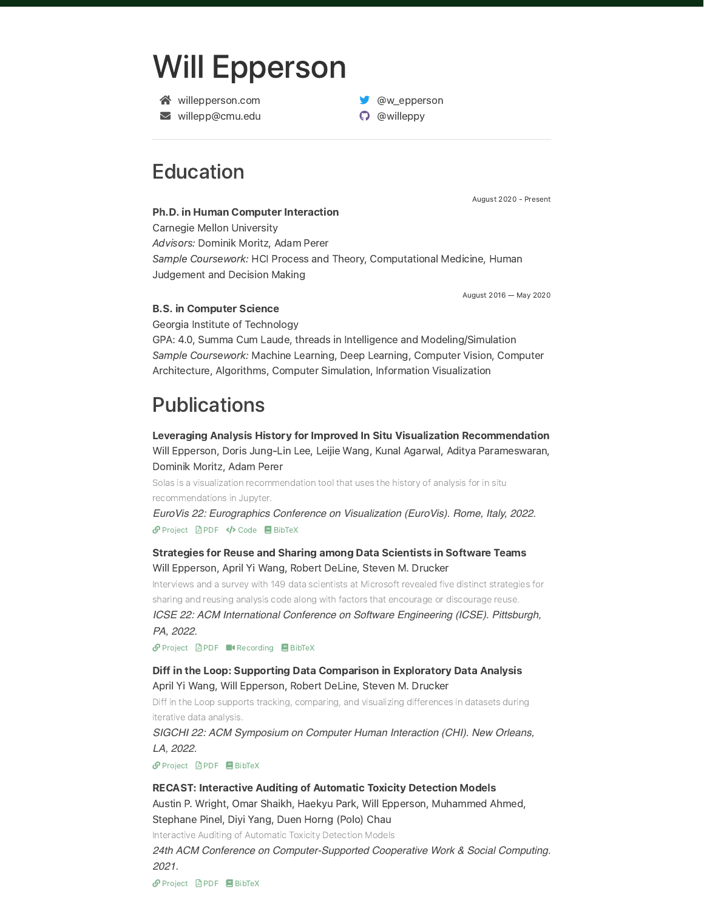# Will [Epperson](https://www.willepperson.com/)

- **谷** [willepperson.com](https://willepperson.com/)
- [willepp@cmu.edu](mailto:willepp@cmu.edu)

# **Education**

August 2020 - Present

Ph.D. in Human Computer Interaction Carnegie Mellon [University](http://127.0.0.1:4000/cv/) Advisors: [Dominik](https://www.domoritz.de/) Moritz, [Adam](https://perer.org/) Perer

Sample Coursework: HCI Process and Theory, Computational Medicine, Human Judgement and Decision Making

**W** [@w\\_epperson](https://twitter.com/w_epperson) [@willeppy](https://github.com/willeppy)

August 2016 — May 2020

#### B.S. in Computer Science

Georgia Institute of [Technology](https://www.gatech.edu/)

GPA: 4.0, Summa Cum Laude, threads in Intelligence and Modeling/Simulation Sample Coursework: Machine Learning, Deep Learning, Computer Vision, Computer Architecture, Algorithms, Computer Simulation, Information Visualization

# **Publications**

Leveraging Analysis History for Improved In Situ Visualization Recommendation Will [Epperson](http://www.willepperson.com/), Doris [Jung-Lin](http://dorisjunglinlee.com/) Lee, Leijie [Wang,](https://leijiewang.com/) Kunal [Agarwal,](http://www.kunal-agarwal.com/) Aditya [Parameswaran](https://people.eecs.berkeley.edu/~adityagp/), [Dominik](https://www.domoritz.de/) Moritz, [Adam](https://perer.org/) Perer

Solas is a visualization recommendation tool that uses the history of analysis for in situ recommendations in Jupyter.

*EuroVis 22: Eurographics Conference on Visualization (EuroVis). Rome, Italy, 2022.* **P** [Project](http://127.0.0.1:4000/papers/solas) **A** [PDF](http://127.0.0.1:4000/papers/Solas_EuroVis22.pdf) </> **[Code](https://github.com/cmudig/solas)** BibTeX

### Strategies for Reuse and Sharing among Data Scientists in Software Teams Will [Epperson](http://www.willepperson.com/), April Yi [Wang,](https://aprilwang.me/) Robert [DeLine,](https://www.microsoft.com/en-us/research/people/rdeline/) Steven M. [Drucker](https://www.microsoft.com/en-us/research/people/sdrucker/)

Interviews and a survey with 149 data scientists at Microsoft revealed five distinct strategies for sharing and reusing analysis code along with factors that encourage or discourage reuse.

*ICSE 22: ACM International Conference on Software Engineering (ICSE). Pittsburgh, PA, 2022.*

 $\mathcal O$  [Project](http://127.0.0.1:4000/papers/reuse-ds)  $\Box$  [PDF](http://127.0.0.1:4000/papers/reuse-sharing-DS-icse22.pdf) **II** [Recording](https://www.youtube.com/watch?v=W4XAF2vkoCQ)  $\Box$  BibTeX

### Diff in the Loop: Supporting Data Comparison in Exploratory Data Analysis April Yi [Wang](https://aprilwang.me/), Will [Epperson,](http://www.willepperson.com/) Robert [DeLine,](https://www.microsoft.com/en-us/research/people/rdeline/) Steven M. [Drucker](https://www.microsoft.com/en-us/research/people/sdrucker/)

Diff in the Loop supports tracking, comparing, and visualizing differences in datasets during iterative data analysis.

*SIGCHI 22: ACM Symposium on Computer Human Interaction (CHI). New Orleans, LA, 2022.*

 $\mathcal P$  [Project](http://127.0.0.1:4000/papers/ditl)  $\Box$  [PDF](http://127.0.0.1:4000/papers/ditl-chi22.pdf)  $\Box$  BibTeX

#### RECAST: Interactive Auditing of Automatic Toxicity Detection Models

Austin P. [Wright](http://austinpwright.com/), Omar [Shaikh](http://oshaikh.com/), [Haekyu](https://haekyu.com/) Park, Will [Epperson,](http://www.willepperson.com/) Muhammed Ahmed, Stephane Pinel, Diyi [Yang](https://www.cc.gatech.edu/~dyang888/), Duen [Horng](https://www.cc.gatech.edu/~dchau) (Polo) Chau

Interactive Auditing of Automatic Toxicity Detection Models

*24th ACM Conference on Computer-Supported Cooperative Work & Social Computing. 2021.*

 $\mathcal O$  [Project](http://127.0.0.1:4000/papers/recast)  $\Box$  [PDF](https://arxiv.org/pdf/2102.04427)  $\Box$  BibTeX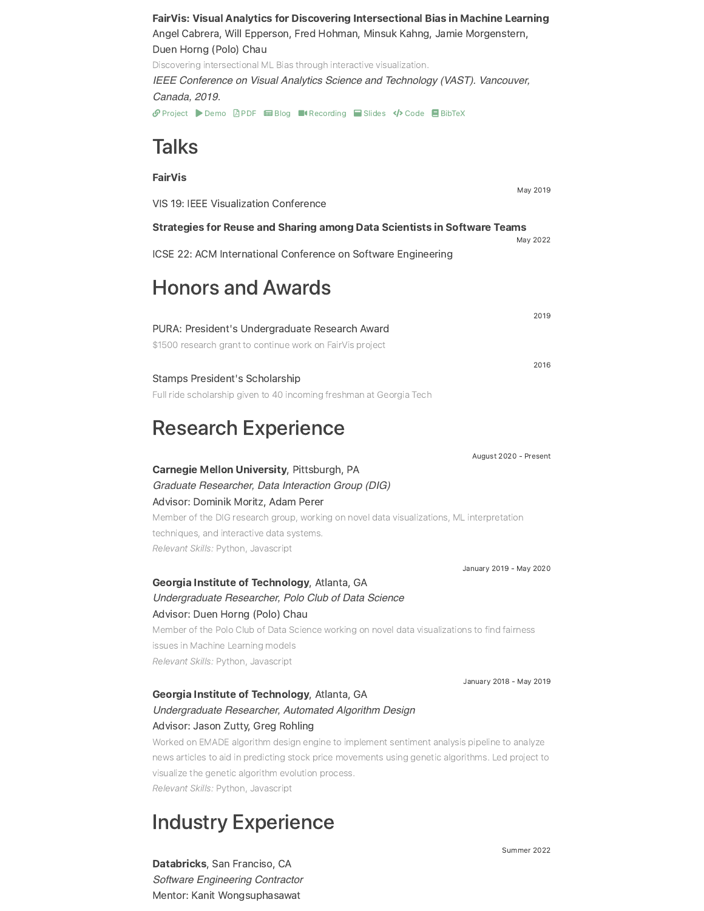FairVis: Visual Analytics for Discovering Intersectional Bias in Machine Learning Angel [Cabrera,](http://cabreraalex.com/) Will [Epperson](http://www.willepperson.com/), Fred [Hohman,](https://fredhohman.com/) [Minsuk](https://minsuk.com/) Kahng, Jamie [Morgenstern](http://jamiemorgenstern.com/), Duen [Horng](https://www.cc.gatech.edu/~dchau) (Polo) Chau Discovering intersectional ML Bias through interactive visualization. *IEEE Conference on Visual Analytics Science and Technology (VAST). Vancouver, Canada, 2019. ⊙* [Project](http://127.0.0.1:4000/papers/fairvis) ▶ [Demo](https://poloclub.github.io/FairVis/) **B** [PDF](https://arxiv.org/abs/1904.05419) **E[Blog](https://medium.com/@cabreraalex/fairvis-discovering-bias-in-machine-learning-using-visual-analytics-acbd362a3e2f)** ■ [Recording](https://vimeo.com/368702211) ■ [Slides](http://127.0.0.1:4000/slides/19-fairvis-vast-slides.pdf) </>  $\bullet$  [Code](https://github.com/poloclub/FairVis) ■ BibTeX

# **Talks**

## FairVis May 2019 VIS 19: IEEE Visualization Conference Strategies for Reuse and Sharing among Data Scientists in Software Teams May 2022 ICSE 22: ACM International Conference on Software Engineering Honors and Awards 2019

| PURA: President's Undergraduate Research Award            |      |
|-----------------------------------------------------------|------|
| \$1500 research grant to continue work on FairVis project |      |
|                                                           | 2016 |
| Stamps President's Scholarship                            |      |

Full ride scholarship given to 40 incoming freshman at Georgia Tech

# Research Experience

August 2020 - Present Carnegie Mellon [University,](https://www.hcii.cmu.edu/) Pittsburgh, PA *Graduate Researcher, [Data Interaction Group \(DIG\)](https://dig.cmu.edu/)* Advisor: [Dominik](https://www.domoritz.de/) Moritz, [Adam](https://perer.org/) Perer Member of the DIG research group, working on novel data visualizations, ML interpretation techniques, and interactive data systems. Relevant Skills: Python, Javascript

Georgia Institute of [Technology](http://gatech.edu/), Atlanta, GA *Undergraduate Researcher, [Polo Club of Data Science](http://cse.gatech.edu/)* Advisor: Duen [Horng](https://www.cc.gatech.edu/~dchau) (Polo) Chau Member of the Polo Club of Data Science working on novel data visualizations to find fairness issues in Machine Learning models Relevant Skills: Python, Javascript

January 2018 - May 2019

January 2019 - May 2020

### Georgia Institute of [Technology](http://gatech.edu/), Atlanta, GA *Undergraduate Researcher, [Automated Algorithm Design](https://www.vip.gatech.edu/teams/automated-algorithm-design)* Advisor: Jason Zutty, Greg Rohling

Worked on EMADE algorithm design engine to implement sentiment analysis pipeline to analyze news articles to aid in predicting stock price movements using genetic algorithms. Led project to visualize the genetic algorithm evolution process. Relevant Skills: Python, Javascript

# Industry Experience

[Databricks,](https://databricks.com/) San Franciso, CA *Software Engineering Contractor* Mentor: Kanit Wongsuphasawat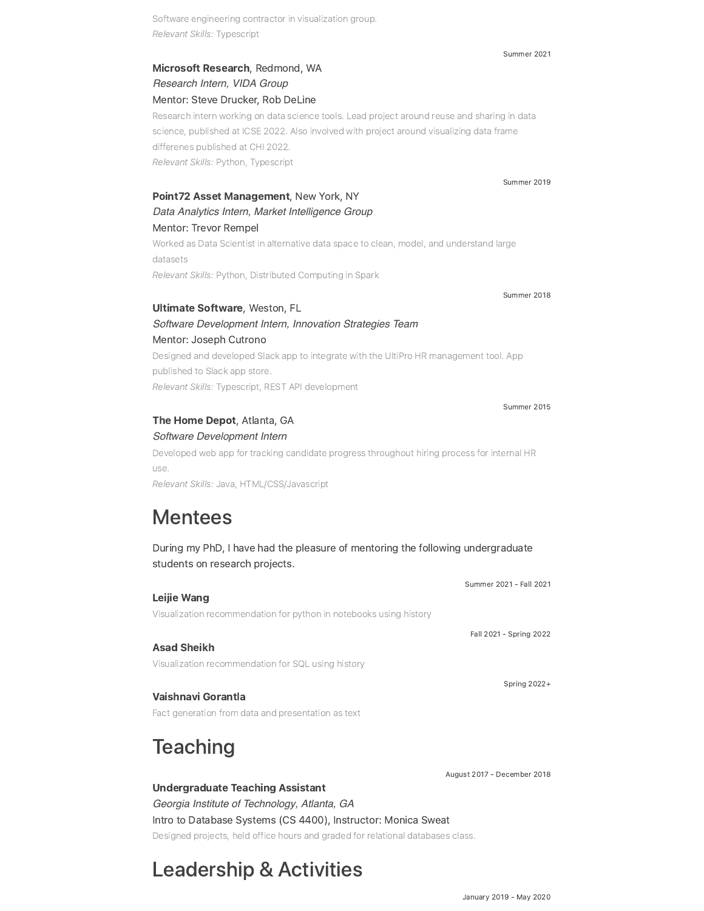Software engineering contractor in visualization group. Relevant Skills: Typescript

### [Microsoft](https://www.microsoft.com/en-us/research/) Research, Redmond, WA *Research Intern, [VIDA Group](https://www.microsoft.com/en-us/research/group/vida/)* Mentor: Steve Drucker, Rob DeLine

Research intern working on data science tools. Lead project around reuse and sharing in data science, published at ICSE 2022. Also involved with project around visualizing data frame differenes published at CHI 2022. Relevant Skills: Python, Typescript

### Point72 Asset [Management,](https://www.point72.com/) New York, NY *Data Analytics Intern, [Market Intelligence Group](https://www.point72.com/market-intelligence/)* Mentor: Trevor Rempel

Worked as Data Scientist in alternative data space to clean, model, and understand large datasets Relevant Skills: Python, Distributed Computing in Spark

Ultimate [Software,](https://www.ultimatesoftware.com/) Weston, FL

### *Software Development Intern, [Innovation Strategies Team](https://www.ultimatesoftware.com/)* Mentor: Joseph Cutrono

Designed and developed Slack app to integrate with the UltiPro HR management tool. App published to Slack app store. Relevant Skills: Typescript, REST API development

The Home [Depot,](https://corporate.homedepot.com/) Atlanta, GA

*Software Development Intern*

Developed web app for tracking candidate progress throughout hiring process for internal HR use.

Relevant Skills: Java, HTML/CSS/Javascript

# Mentees

During my PhD, I have had the pleasure of mentoring the following undergraduate students on research projects.

|                                                                    | Summer 2021 - Fall 2021 |
|--------------------------------------------------------------------|-------------------------|
| Leijie Wang                                                        |                         |
| Visualization recommendation for python in notebooks using history |                         |
|                                                                    | Fall 2021 - Spring 2022 |
| <b>Asad Sheikh</b>                                                 |                         |
| Visualization recommendation for SQL using history                 |                         |
|                                                                    | Spring $2022+$          |
| Vaishnavi Gorantla                                                 |                         |
| Fact generation from data and presentation as text                 |                         |

# **Teaching**

Undergraduate Teaching Assistant *[Georgia Institute of Technology,](http://gatech.edu/) Atlanta, GA* Intro to [Database](http://127.0.0.1:4000/cv/) Systems (CS 4400), Instructor: Monica Sweat Designed projects, held office hours and graded for relational databases class.

# Leadership & Activities

#### Summer 2021

Summer 2019

Summer 2018

Summer 2015

August 2017 - December 2018